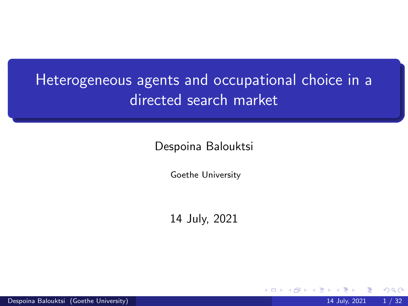# Heterogeneous agents and occupational choice in a directed search market

Despoina Balouktsi

Goethe University

14 July, 2021

4 **D**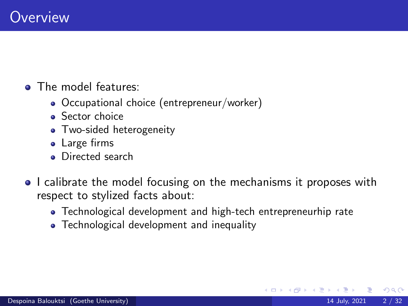- **a** The model features:
	- Occupational choice (entrepreneur/worker)
	- **Sector choice**
	- Two-sided heterogeneity
	- Large firms
	- **•** Directed search
- I calibrate the model focusing on the mechanisms it proposes with respect to stylized facts about:
	- Technological development and high-tech entrepreneurhip rate
	- Technological development and inequality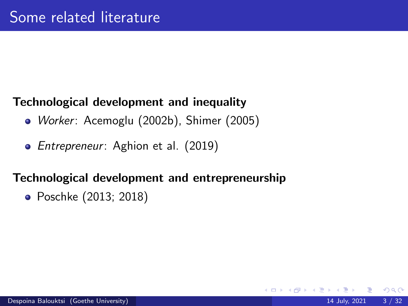## Technological development and inequality

- *Worker: Acemoglu (2002b)*, Shimer (2005)
- *Entrepreneur*: Aghion et al. (2019)

### Technological development and entrepreneurship

• Poschke (2013; 2018)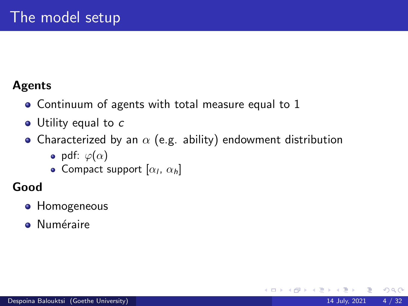### Agents

- Continuum of agents with total measure equal to 1
- Utility equal to c
- Characterized by an  $\alpha$  (e.g. ability) endowment distribution
	- pdf:  $\varphi(\alpha)$
	- Compact support  $[\alpha_l, \alpha_h]$

## Good

- **Homogeneous**
- **·** Numéraire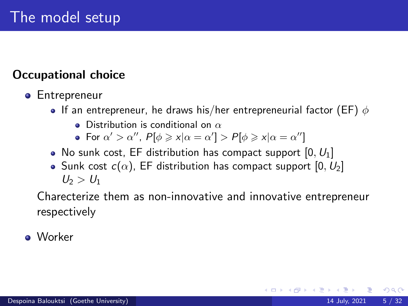## Occupational choice

#### **•** Entrepreneur

- $\bullet$  If an entrepreneur, he draws his/her entrepreneurial factor (EF)  $\phi$ 
	- **•** Distribution is conditional on  $\alpha$
	- For  $\alpha' > \alpha''$ ,  $P[\phi \geq x | \alpha = \alpha'] > P[\phi \geq x | \alpha = \alpha'']$
- No sunk cost, EF distribution has compact support  $[0, U_1]$
- Sunk cost  $c(\alpha)$ , EF distribution has compact support [0,  $U_2$ ]  $U_2 > U_1$

Charecterize them as non-innovative and innovative entrepreneur respectively

Worker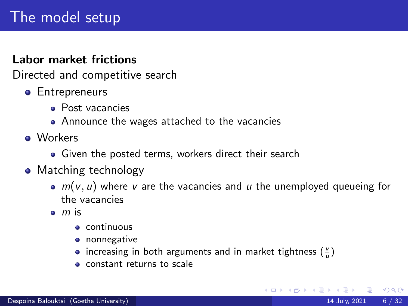#### Labor market frictions

Directed and competitive search

- **•** Entrepreneurs
	- Post vacancies
	- Announce the wages attached to the vacancies
- **o** Workers
	- Given the posted terms, workers direct their search
- Matching technology
	- $\bullet$  m(v, u) where v are the vacancies and u the unemployed queueing for the vacancies
	- $\bullet$  m is
		- continuous
		- **•** nonnegative
		- increasing in both arguments and in market tightness  $(\frac{v}{u})$
		- **o** constant returns to scale

8 K 3 K K 3

 $QQ$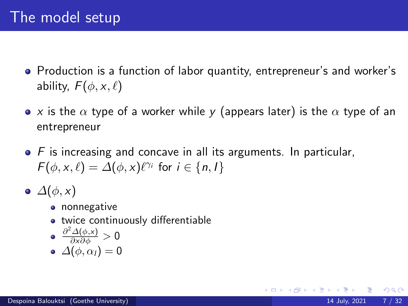- Production is a function of labor quantity, entrepreneur's and worker's ability,  $F(\phi, x, \ell)$
- x is the  $\alpha$  type of a worker while y (appears later) is the  $\alpha$  type of an entrepreneur
- $\bullet$  F is increasing and concave in all its arguments. In particular,  $F(\phi, x, \ell) = \Delta(\phi, x) \ell^{\gamma_i}$  for  $i \in \{n, l\}$
- $\bullet$   $\Delta(\phi, x)$ 
	- **•** nonnegative
	- **•** twice continuously differentiable

$$
\bullet \ \frac{\partial^2 \Delta(\phi, x)}{\partial x \partial \phi} > 0
$$

$$
\bullet\ \varDelta(\phi,\alpha_I)=0
$$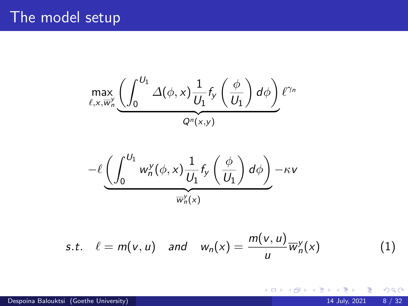$$
\max_{\ell,x,\overline{w}_n^{\mathsf{Y}}}\underbrace{\left(\int_0^{U_1}\varDelta(\phi,x)\frac{1}{U_1}f_{\mathsf{y}}\left(\frac{\phi}{U_1}\right)d\phi\right)}_{Q^n(x,y)}\ell^{\gamma_n}
$$

$$
-\ell \underbrace{\left(\int_0^{U_1} w_n^y(\phi,x) \frac{1}{U_1} f_y\left(\frac{\phi}{U_1}\right) d\phi\right)}_{\overline{w}_n^y(x)} -\kappa v
$$

s.t. 
$$
\ell = m(v, u)
$$
 and  $w_n(x) = \frac{m(v, u)}{u} \overline{w}_n^v(x)$  (1)

**K ロ ▶ K 御 ▶ K 舌** 

 $\sim$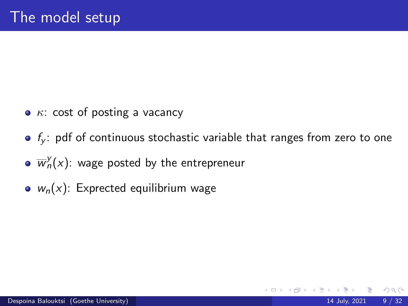- $\kappa$ : cost of posting a vacancy
- $\bullet$  f<sub>v</sub>: pdf of continuous stochastic variable that ranges from zero to one

- $\overline{w}^{\mathcal{Y}}_n(x)$ : wage posted by the entrepreneur
- $w_n(x)$ : Exprected equilibrium wage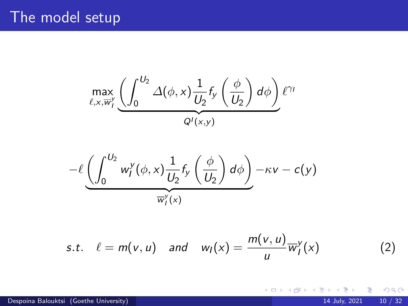$$
\max_{\ell,x,\overline{w}_l^y} \underbrace{\left(\int_0^{U_2} \Delta(\phi,x) \frac{1}{U_2} f_y\left(\frac{\phi}{U_2}\right) d\phi\right)}_{Q^l(x,y)} \ell^{\gamma_l}
$$

$$
-\ell \underbrace{\left(\int_0^{U_2} w_I^y(\phi,x) \frac{1}{U_2} f_y\left(\frac{\phi}{U_2}\right) d\phi\right)}_{\overline{w}_I^y(x)} - \kappa v - c(y)
$$

s.t. 
$$
\ell = m(v, u)
$$
 and  $w_I(x) = \frac{m(v, u)}{u} \overline{w}_I^v(x)$  (2)

**K ロ ▶ K 倒 ▶** 

 $\prec$ 

É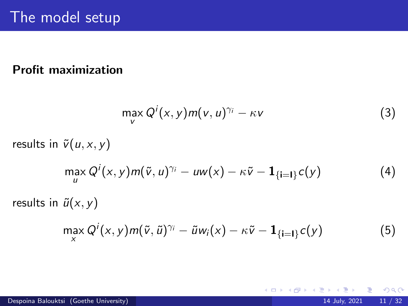#### Profit maximization

$$
\max_{V} Q^{i}(x, y) m(v, u)^{\gamma_{i}} - \kappa v \tag{3}
$$

4 D.K.

results in  $\tilde{v}(u, x, y)$ 

$$
\max_{u} Q^{i}(x, y) m(\tilde{v}, u)^{\gamma_{i}} - u w(x) - \kappa \tilde{v} - \mathbf{1}_{\left\{i=1\right\}} c(y) \tag{4}
$$

results in  $\tilde{u}(x, y)$ 

$$
\max_{x} Q^{i}(x, y) m(\tilde{v}, \tilde{u})^{\gamma_{i}} - \tilde{u} w_{i}(x) - \kappa \tilde{v} - \mathbf{1}_{\{\mathbf{i} = \mathbf{I}\}} c(y) \tag{5}
$$

Þ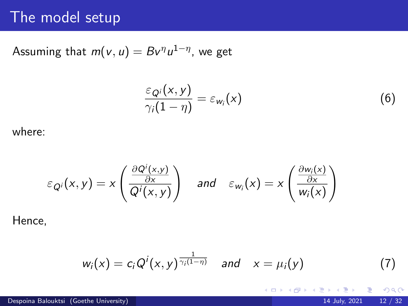## The model setup

Assuming that  $m(v,u)=Bv^\eta u^{1-\eta}$ , we get

$$
\frac{\varepsilon_{Q_i}(x,y)}{\gamma_i(1-\eta)}=\varepsilon_{w_i}(x) \qquad \qquad (6)
$$

where:

$$
\varepsilon_{Q_i}(x,y) = x \left( \frac{\frac{\partial Q^i(x,y)}{\partial x}}{Q^i(x,y)} \right) \quad \text{and} \quad \varepsilon_{w_i}(x) = x \left( \frac{\frac{\partial w_i(x)}{\partial x}}{w_i(x)} \right)
$$

Hence,

$$
w_i(x) = c_i Q^i(x, y)^{\frac{1}{\gamma_i(1-\eta)}} \quad \text{and} \quad x = \mu_i(y) \tag{7}
$$

造

 $\leftarrow$   $\leftarrow$   $\leftarrow$   $\leftarrow$   $\leftarrow$   $\leftarrow$   $\leftarrow$   $\leftarrow$   $\leftarrow$   $\leftarrow$   $\leftarrow$   $\leftarrow$   $\leftarrow$   $\leftarrow$   $\leftarrow$   $\leftarrow$   $\leftarrow$   $\leftarrow$   $\leftarrow$   $\leftarrow$   $\leftarrow$   $\leftarrow$   $\leftarrow$   $\leftarrow$   $\leftarrow$   $\leftarrow$   $\leftarrow$   $\leftarrow$   $\leftarrow$   $\leftarrow$   $\leftarrow$   $\leftarrow$   $\leftarrow$   $\leftarrow$   $\leftarrow$   $\leftarrow$   $\leftarrow$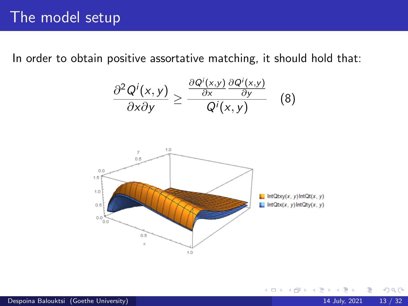In order to obtain positive assortative matching, it should hold that:

$$
\frac{\partial^2 Q^i(x,y)}{\partial x \partial y} \ge \frac{\frac{\partial Q^i(x,y)}{\partial x} \frac{\partial Q^i(x,y)}{\partial y}}{Q^i(x,y)}
$$
(8)



4 **D F** 

 $QQ$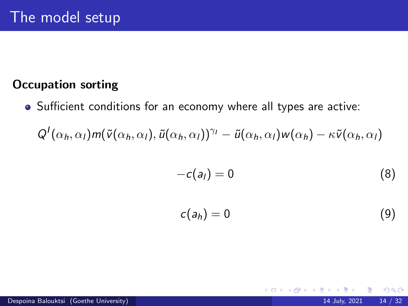### Occupation sorting

Sufficient conditions for an economy where all types are active:

$$
Q^{I}(\alpha_h,\alpha_I) m(\tilde{v}(\alpha_h,\alpha_I),\tilde{u}(\alpha_h,\alpha_I))^{\gamma_I} - \tilde{u}(\alpha_h,\alpha_I) w(\alpha_h) - \kappa \tilde{v}(\alpha_h,\alpha_I)
$$

$$
-c(a_1)=0 \tag{8}
$$

$$
c(a_h)=0 \tag{9}
$$

4 D F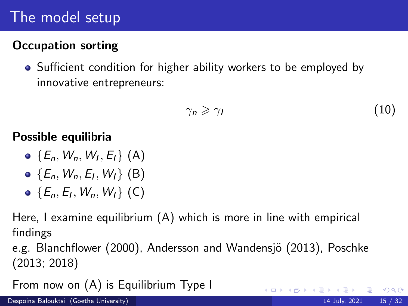# The model setup

## Occupation sorting

Sufficient condition for higher ability workers to be employed by innovative entrepreneurs:

$$
\gamma_n \geqslant \gamma_l \tag{10}
$$

### Possible equilibria

- $\{E_n, W_n, W_l, E_l\}$  (A)
- $\{E_n, W_n, E_l, W_l\}$  (B)
- $\{E_n, E_l, W_n, W_l\}$  (C)

Here, I examine equilibrium (A) which is more in line with empirical findings

e.g. Blanchflower (2000), Andersson and Wandensjö (2013), Poschke (2013; 2018)

From now on (A) is Equilibrium Type I

 $QQ$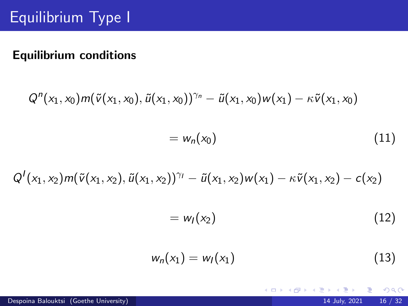### Equilibrium conditions

$$
Q^{n}(x_{1}, x_{0})m(\tilde{v}(x_{1}, x_{0}), \tilde{u}(x_{1}, x_{0}))^{\gamma_{n}} - \tilde{u}(x_{1}, x_{0})w(x_{1}) - \kappa \tilde{v}(x_{1}, x_{0})
$$

$$
= w_{n}(x_{0})
$$
(11)

$$
Q^{I}(x_1,x_2)m(\tilde{v}(x_1,x_2),\tilde{u}(x_1,x_2))^{\gamma_I}-\tilde{u}(x_1,x_2)w(x_1)-\kappa\tilde{v}(x_1,x_2)-c(x_2)
$$

$$
= w_I(x_2) \tag{12}
$$

**K ロ ▶ K 何 ▶ K** 

 $299$ 

重

$$
w_n(x_1) = w_l(x_1) \tag{13}
$$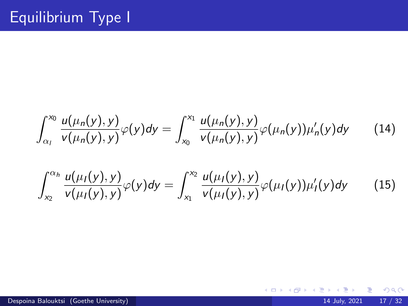$$
\int_{\alpha_1}^{x_0} \frac{u(\mu_n(y), y)}{v(\mu_n(y), y)} \varphi(y) dy = \int_{x_0}^{x_1} \frac{u(\mu_n(y), y)}{v(\mu_n(y), y)} \varphi(\mu_n(y)) \mu'_n(y) dy \qquad (14)
$$

$$
\int_{x_2}^{\alpha_h} \frac{u(\mu_1(y), y)}{v(\mu_1(y), y)} \varphi(y) dy = \int_{x_1}^{x_2} \frac{u(\mu_1(y), y)}{v(\mu_1(y), y)} \varphi(\mu_1(y)) \mu_1'(y) dy \qquad (15)
$$

 $\prec$ B J.

 $\sim$ 

**K ロ ▶ K 御 ▶ K 舌**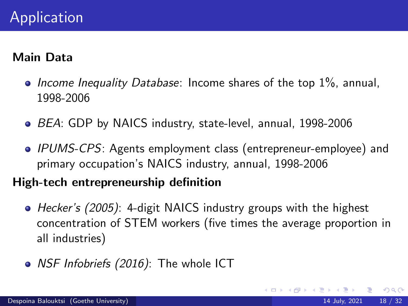#### Main Data

- Income Inequality Database: Income shares of the top  $1\%$ , annual, 1998-2006
- BEA: GDP by NAICS industry, state-level, annual, 1998-2006
- IPUMS-CPS: Agents employment class (entrepreneur-employee) and primary occupation's NAICS industry, annual, 1998-2006

#### High-tech entrepreneurship definition

- Hecker's (2005): 4-digit NAICS industry groups with the highest concentration of STEM workers (five times the average proportion in all industries)
- NSF Infobriefs (2016): The whole ICT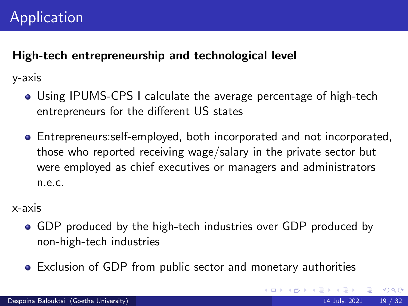### High-tech entrepreneurship and technological level

y-axis

- Using IPUMS-CPS I calculate the average percentage of high-tech entrepreneurs for the different US states
- Entrepreneurs:self-employed, both incorporated and not incorporated, those who reported receiving wage/salary in the private sector but were employed as chief executives or managers and administrators n.e.c.

x-axis

- GDP produced by the high-tech industries over GDP produced by non-high-tech industries
- Exclusion of GDP from public sector and monetary authorities

 $QQ$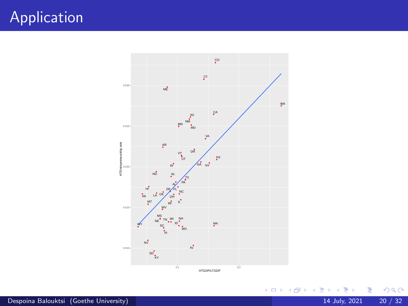# Application



 $299$ 

イロト イ部 トイモ トイモト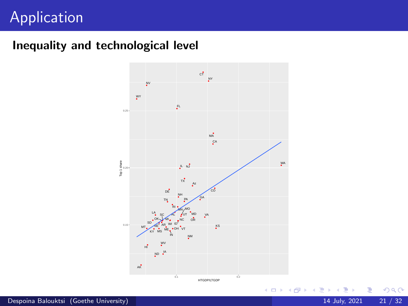# Application

### Inequality and technological level

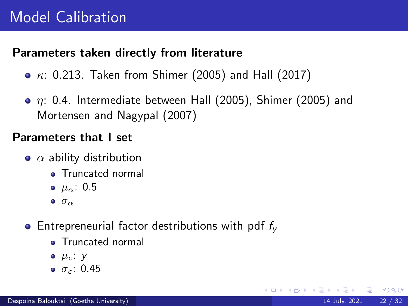### Parameters taken directly from literature

- $\kappa$ : 0.213. Taken from Shimer (2005) and Hall (2017)
- $\bullet$   $\eta$ : 0.4. Intermediate between Hall (2005), Shimer (2005) and Mortensen and Nagypal (2007)

#### Parameters that I set

- $\bullet$   $\alpha$  ability distribution
	- **•** Truncated normal
	- $\bullet$   $\mu_{\alpha}$ : 0.5
	- $\bullet$   $\sigma_{\alpha}$
- Entrepreneurial factor destributions with pdf  $f_v$ 
	- **•** Truncated normal
	- $\bullet$   $\mu_c$ : y
	- $\bullet$   $\sigma$ <sub>c</sub>: 0.45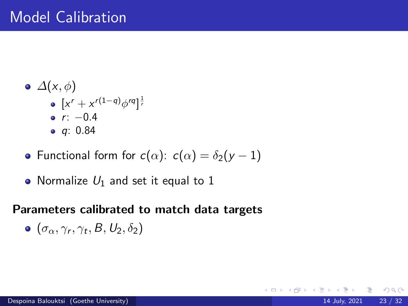- $\bullet$   $\Delta(x, \phi)$  $\left[ x^r + x^{r(1-q)}\phi^{rq} \right]^{\frac{1}{r}}$  $r: -0.4$ q: 0.84
- Functional form for  $c(\alpha)$ :  $c(\alpha) = \delta_2(y-1)$
- Normalize  $U_1$  and set it equal to 1

#### Parameters calibrated to match data targets

 $200$ 

4 **D F** 

$$
\bullet \ (\sigma_{\alpha}, \gamma_{r}, \gamma_{t}, B, U_{2}, \delta_{2})
$$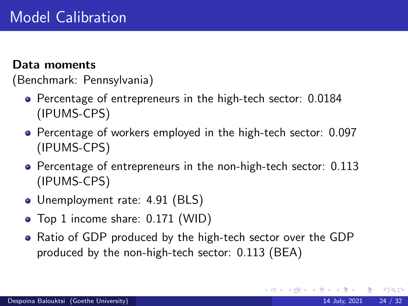#### Data moments

(Benchmark: Pennsylvania)

- Percentage of entrepreneurs in the high-tech sector: 0.0184 (IPUMS-CPS)
- Percentage of workers employed in the high-tech sector: 0.097 (IPUMS-CPS)
- **•** Percentage of entrepreneurs in the non-high-tech sector: 0.113 (IPUMS-CPS)
- Unemployment rate: 4.91 (BLS)
- Top 1 income share: 0.171 (WID)
- Ratio of GDP produced by the high-tech sector over the GDP produced by the non-high-tech sector: 0.113 (BEA)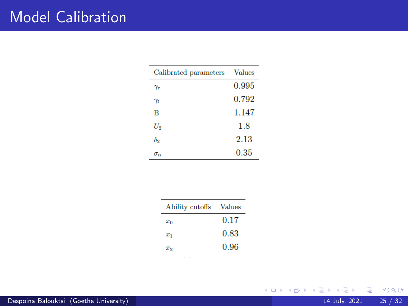# Model Calibration

| Calibrated parameters Values |       |
|------------------------------|-------|
| $\gamma_r$                   | 0.995 |
| $\gamma_t$                   | 0.792 |
| B                            | 1.147 |
| $U_2$                        | 1.8   |
| δэ                           | 2.13  |
| $\sigma_{\alpha}$            | 0.35  |

| Ability cutoffs Values |      |
|------------------------|------|
| $x_0$                  | 0.17 |
| $x_1$                  | 0.83 |
| $x_{2}$                | 0.96 |

**K ロ ▶ K 御 ▶ K 君 ▶ K 君**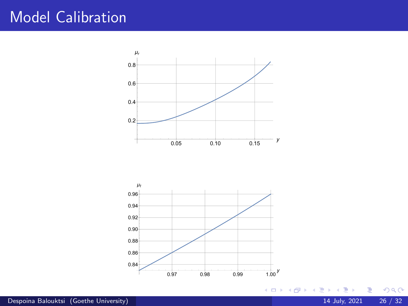## Model Calibration





 $\leftarrow$   $\Box$ 

∢●●  $\sim$  $\prec$  B

 $\mathcal{A}$  .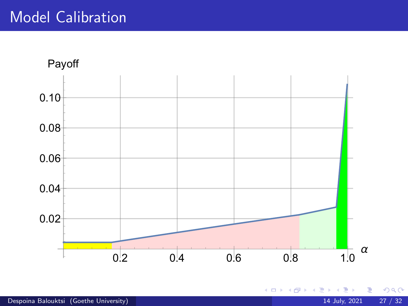

Þ

 $\leftarrow$   $\Box$ 

∢●●

É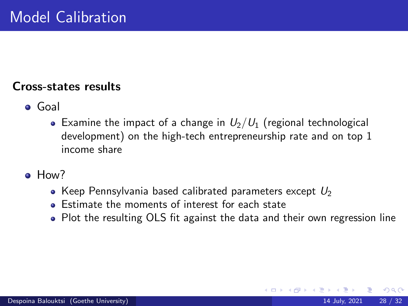#### Cross-states results

- Goal
	- Examine the impact of a change in  $U_2/U_1$  (regional technological development) on the high-tech entrepreneurship rate and on top 1 income share
- How?
	- Keep Pennsylvania based calibrated parameters except  $U_2$
	- Estimate the moments of interest for each state
	- Plot the resulting OLS fit against the data and their own regression line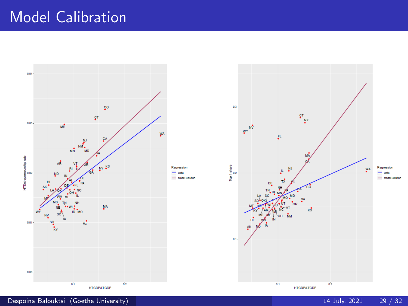# Model Calibration



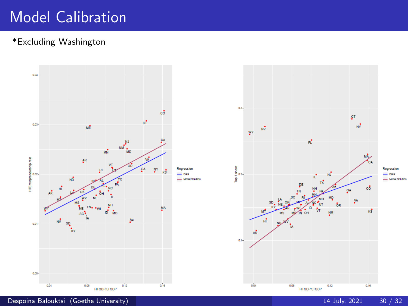# Model Calibration

#### \*Excluding Washington